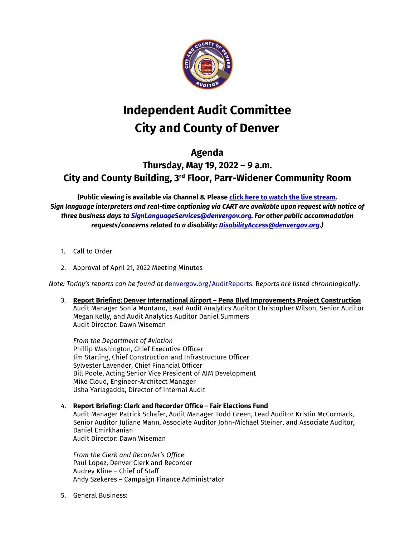

## **Independent Audit Committee City and County of Denver**

## **Agenda**

## **Thursday, May 19, 2022 – 9 a.m. City and County Building, 3rd Floor, Parr-Widener Community Room**

**(Public viewing is available via Channel 8. Pleas[e click here to watch the live stream.](https://denver.granicus.com/mediaplayer.php?camera_id=2&publish_id=2&autostart=0&embed=1)**  *Sign language interpreters and real-time captioning via CART are available upon request with notice of three business days to [SignLanguageServices@denvergov.org.](mailto:SignLanguageServices@denvergov.org) For other public accommodation requests/concerns related to a disability: [DisabilityAccess@denvergov.org.](mailto:DisabilityAccess@denvergov.org))*

- 1. Call to Order
- 2. Approval of April 21, 2022 Meeting Minutes

*Note: Today's reports can be found at* [denvergov.org/AuditReports.](https://denvergov.org/Government/Agencies-Departments-Offices/Agencies-Departments-Offices-Directory/Auditors-Office/Audit-Services/Audit-Reports) R*eports are listed chronologically.*

3. **Report Briefing: Denver International Airport – Pena Blvd Improvements Project Construction** Audit Manager Sonia Montano, Lead Audit Analytics Auditor Christopher Wilson, Senior Auditor Megan Kelly, and Audit Analytics Auditor Daniel Summers Audit Director: Dawn Wiseman

*From the Department of Aviation* Phillip Washington, Chief Executive Officer Jim Starling, Chief Construction and Infrastructure Officer Sylvester Lavender, Chief Financial Officer Bill Poole, Acting Senior Vice President of AIM Development Mike Cloud, Engineer-Architect Manager Usha Yarlagadda, Director of Internal Audit

## 4. **Report Briefing: Clerk and Recorder Office – Fair Elections Fund**

Audit Manager Patrick Schafer, Audit Manager Todd Green, Lead Auditor Kristin McCormack, Senior Auditor Juliane Mann, Associate Auditor John-Michael Steiner, and Associate Auditor, Daniel Emirkhanian Audit Director: Dawn Wiseman

*From the Clerk and Recorder's Office* Paul Lopez, Denver Clerk and Recorder Audrey Kline – Chief of Staff Andy Szekeres – Campaign Finance Administrator

5. General Business: